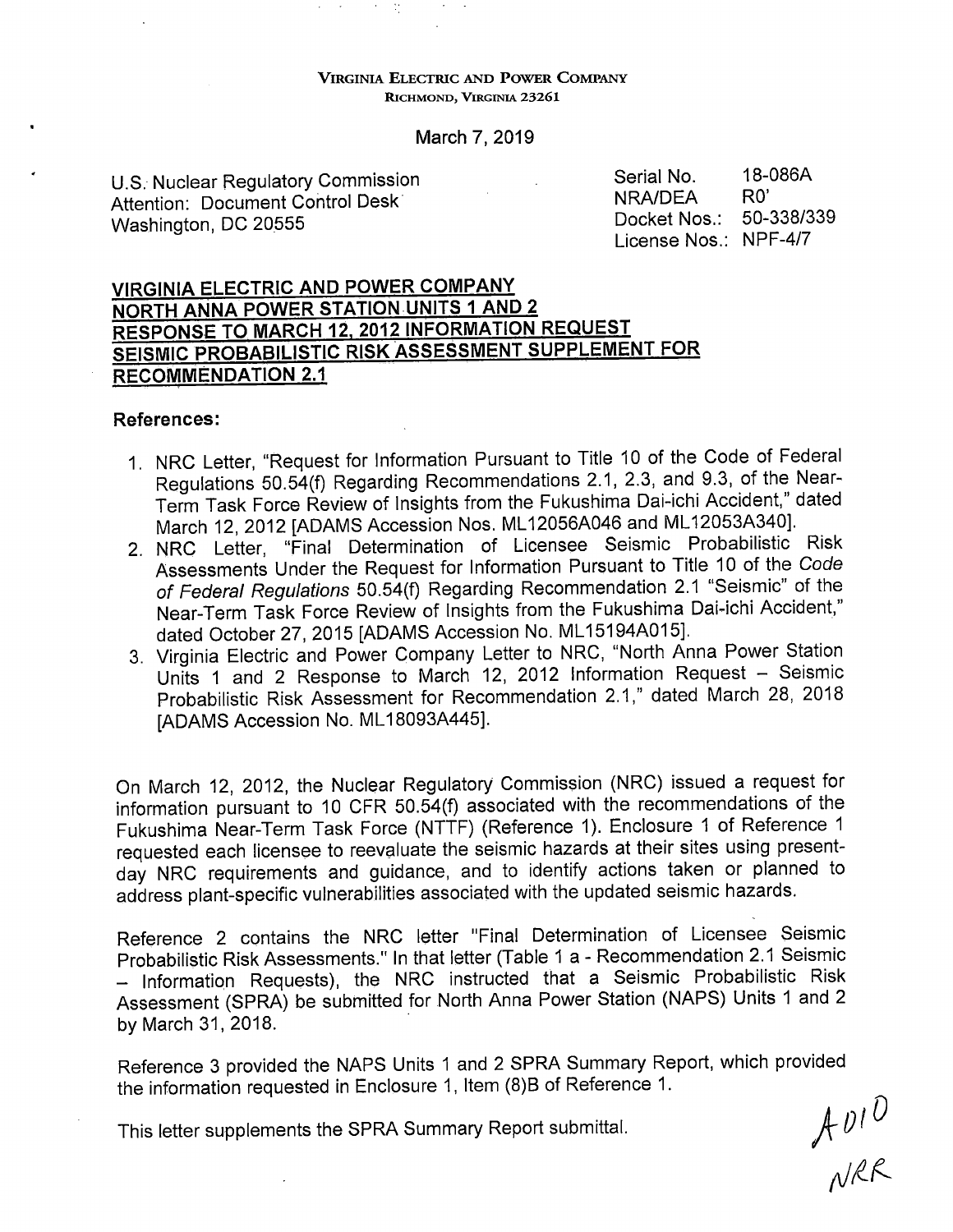#### **VIRGINIA ELECTRIC AND POWER COMPANY RICHMOND, VIRGINIA 23261**

### March 7, 2019

U.S. Nuclear Regulatory Commission Attention: Document Control Desk· Washington, DC 20555

Serial No. 18-086A NRA/DEA RO' Docket Nos.: 50-338/339 License Nos.: NPF-4/7

# **VIRGINIA ELECTRIC AND POWER COMPANY NORTH ANNA POWER STATION UNITS 1 AND 2 RESPONSE TO MARCH 12, 2012 INFORMATION REQUEST SEISMIC PROBABILISTIC RISK ASSESSMENT SUPPLEMENT FOR RECOMMENDATION 2.1**

 $\mathcal{O}(\mathcal{O}_\mathcal{O})$ 

### **References:**

- 1. NRG Letter, "Request for Information Pursuant to Title 10 of the Code of Federal Regulations 50.54(f) Regarding Recommendations 2.1, 2.3, and 9.3, of the Near-Term Task Force Review of Insights from the Fukushima Dai-ichi Accident," dated March 12, 2012 [ADAMS Accession Nos. ML 12056A046 and ML 12053A340].
- 2. NRG Letter, "Final Determination of Licensee Seismic Probabilistic Risk Assessments Under the Request for Information Pursuant to Title 10 of the Code of Federal Regulations 50.54(f) Regarding Recommendation 2.1 "Seismic" of the Near-Term Task Force Review of Insights from the Fukushima Dai-ichi Accident,'' dated October 27, 2015 [ADAMS Accession No. ML15194A015].
- 3. Virginia Electric and Power Company Letter to NRG, "North Anna Power Station Units 1 and 2 Response to March 12, 2012 Information Request - Seismic Probabilistic Risk Assessment for Recommendation 2.1," dated March 28, <sup>2018</sup> [ADAMS Accession No. ML 18093A445].

On March 12, 2012, the Nuclear Regulatory Commission (NRG) issued a request for information pursuant to 10 CFR 50.54(f) associated with the recommendations of the Fukushima Near-Term Task Force (NTTF) (Reference 1). Enclosure 1 of Reference 1 requested each licensee to reevaluate the seismic hazards at their sites using presentday NRG requirements and guidance, and to identify actions taken or planned to address plant-specific vulnerabilities associated with the updated seismic hazards.

Reference 2 contains the NRG letter "Final Determination of Licensee Seismic Probabilistic Risk Assessments." In that letter (Table 1 a - Recommendation 2.1 Seismic  $-$  Information Requests), the NRC instructed that a Seismic Probabilistic Risk Assessment (SPRA) be submitted for North Anna Power Station (NAPS) Units 1 and <sup>2</sup> by March 31, 2018.

Reference 3 provided the NAPS Units 1 and 2 SPRA Summary Report, which provided the information requested in Enclosure 1, Item (8)B of Reference 1.

This letter supplements the SPRA Summary Report submittal.

 $A$   $U1$   $\overline{U}$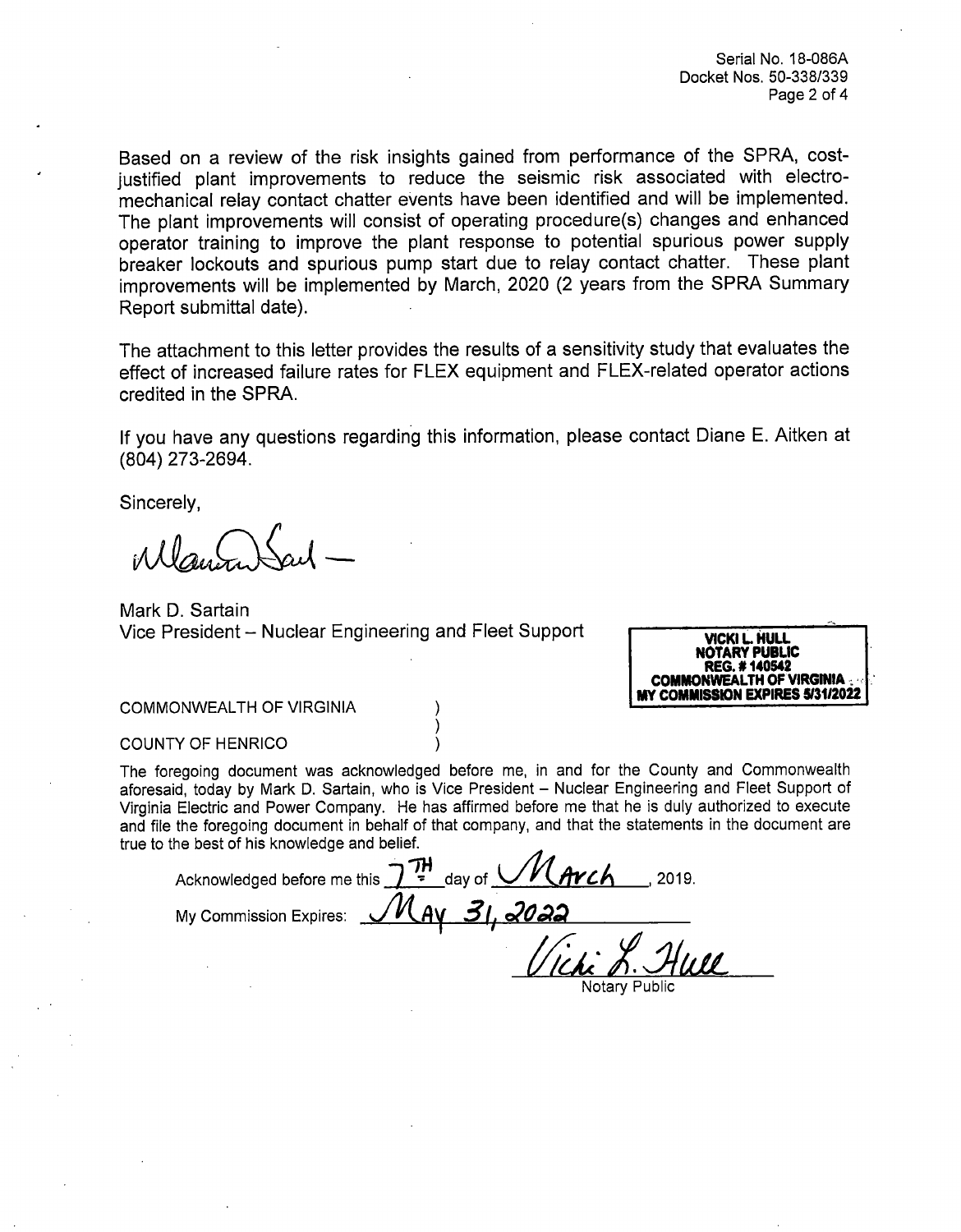Serial No. 18-086A Docket Nos. 50-338/339 Page 2 of 4

Based on a review of the risk insights gained from performance of the SPRA, costjustified plant improvements to reduce the seismic risk associated with electromechanical relay contact chatter events have been identified and will be implemented. The plant improvements will consist of operating procedure(s) changes and enhanced operator training to improve the plant response to potential spurious power supply breaker lockouts and spurious pump start due to relay contact chatter. These plant improvements will be implemented by March, 2020 (2 years from the SPRA Summary Report submittal date).

The attachment to this letter provides the results of a sensitivity study that evaluates the effect of increased failure rates for FLEX equipment and FLEX-related operator actions credited in the SPRA.

If you have any questions regarding this information, please contact Diane E. Aitken at (804) 273-2694.

Sincerely,

Mark D. Sartain Vice President – Nuclear Engineering and Fleet Support



COMMONWEALTH OF VIRGINIA

#### COUNTY OF HENRICO

The foregoing document was acknowledged before me, in and for the County and Commonwealth aforesaid, today by Mark D. Sartain, who is Vice President - Nuclear Engineering and Fleet Support of Virginia Electric and Power Company. He has affirmed before me that he is duly authorized to execute and file the foregoing document in behalf of that company, and that the statements in the document are true to the best of his knowledge and belief.

Acknowledged before me this  $\frac{1}{2}$   $\frac{7H}{14}$  day of  $M$   $Arch$  . 2019. My Commission Expires:  $\mathcal{M}_{AY}$  31, 2022 Wicki L. Hun

Notary Public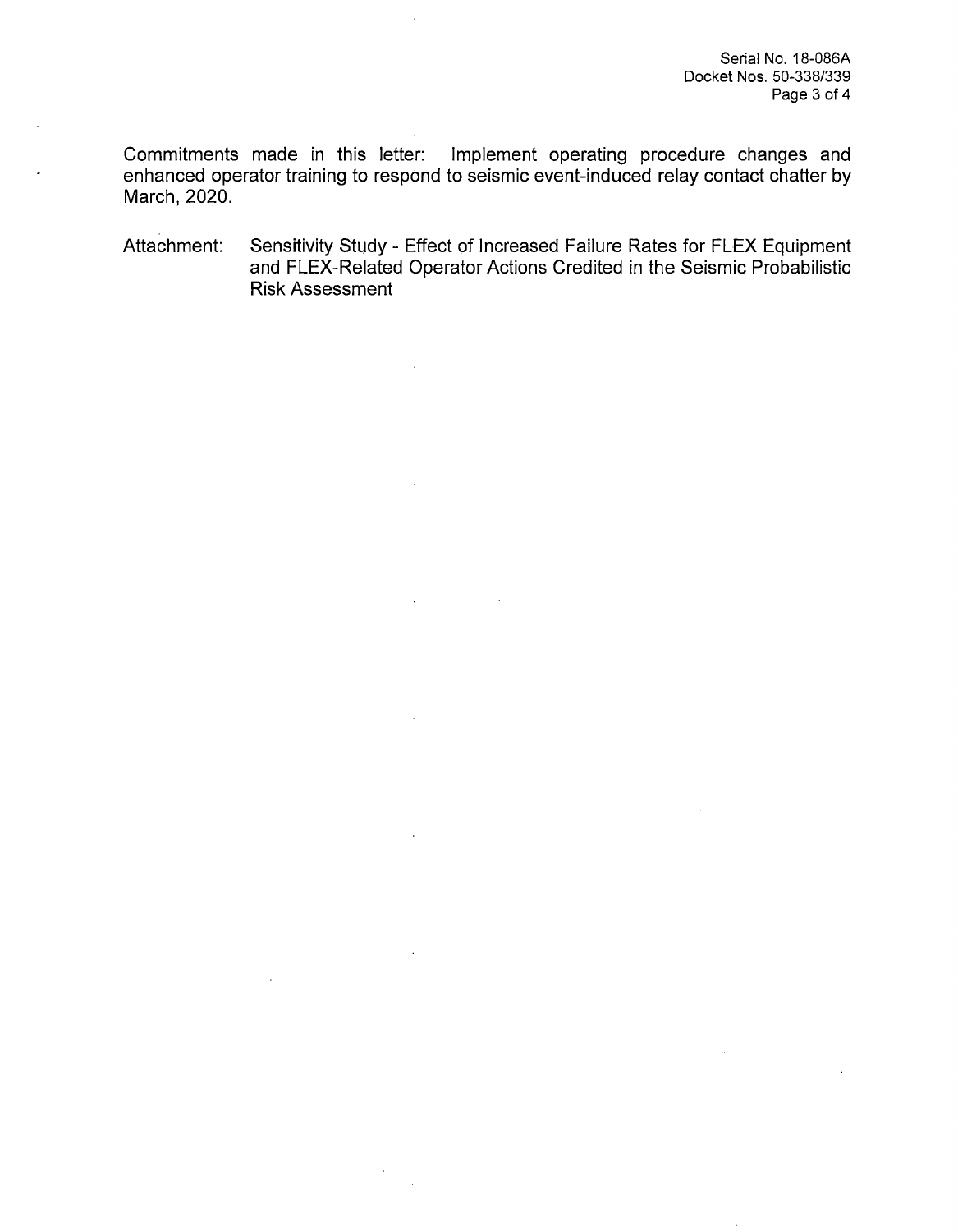Commitments made in this letter: Implement operating procedure changes and enhanced operator training to respond to seismic event-induced relay contact chatter by March, 2020.

Attachment: Sensitivity Study - Effect of Increased Failure Rates for FLEX Equipment and FLEX-Related Operator Actions Credited in the Seismic Probabilistic Risk Assessment

 $\mathcal{L}$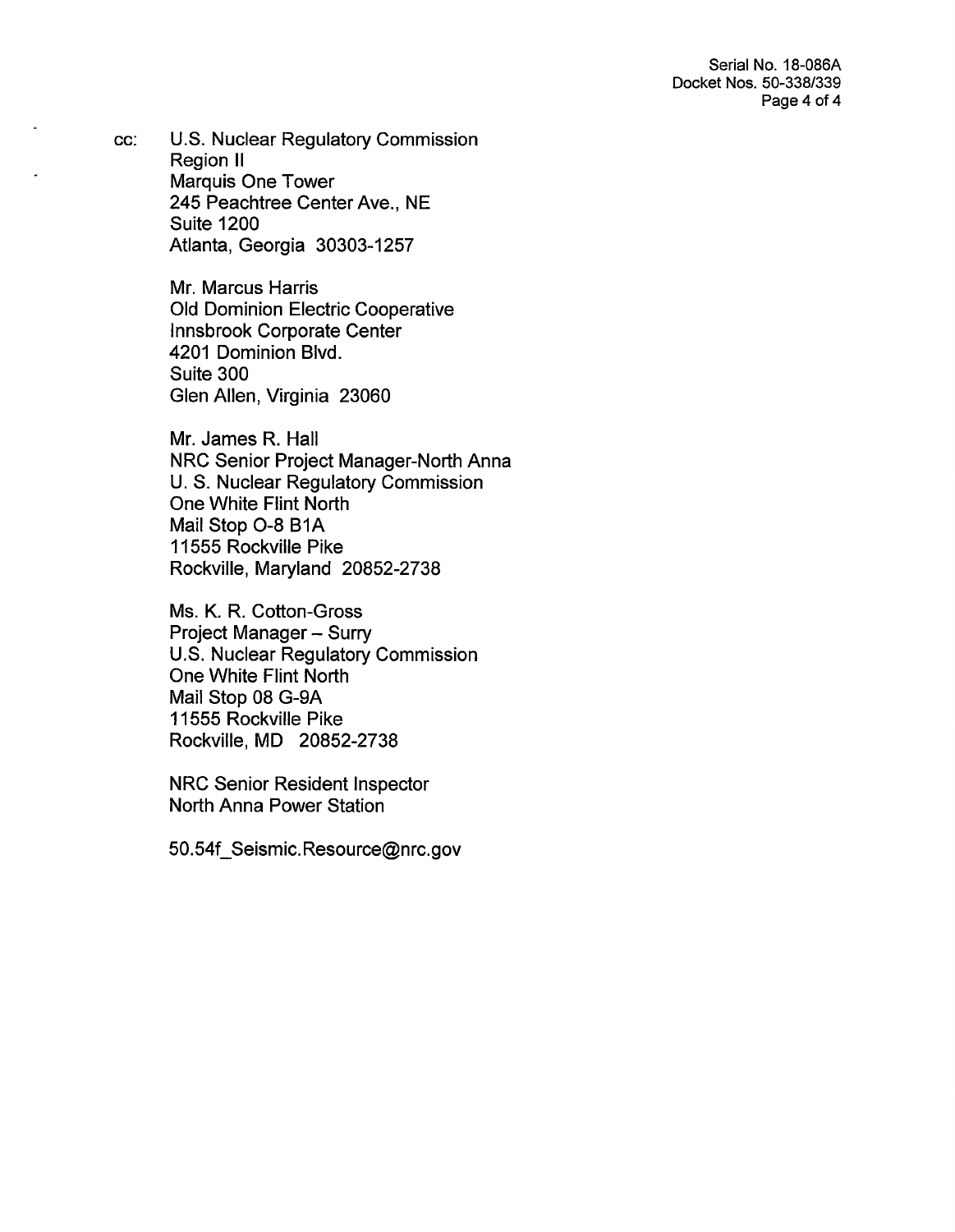Serial No. 18-086A Docket Nos. 50-338/339 Page 4 of 4

cc: U.S. Nuclear Regulatory Commission Region II Marquis One Tower 245 Peachtree Center Ave., NE Suite 1200 Atlanta, Georgia 30303-1257

> Mr. Marcus Harris Old Dominion Electric Cooperative Innsbrook Corporate Center 4201 Dominion Blvd. Suite 300 Glen Allen, Virginia 23060

Mr. James R. Hall NRC Senior Project Manager-North Anna U.S. Nuclear Regulatory Commission One White Flint North Mail Stop O-8 B1A 11555 Rockville Pike Rockville, Maryland 20852-2738

Ms. K. R. Cotton-Gross Project Manager - Surry U.S. Nuclear Regulatory Commission One White Flint North Mail Stop 08 G-9A 11555 Rockville Pike Rockville, MD 20852-2738

NRC Senior Resident Inspector North Anna Power Station

50.54f\_Seismic.Resource@nrc.gov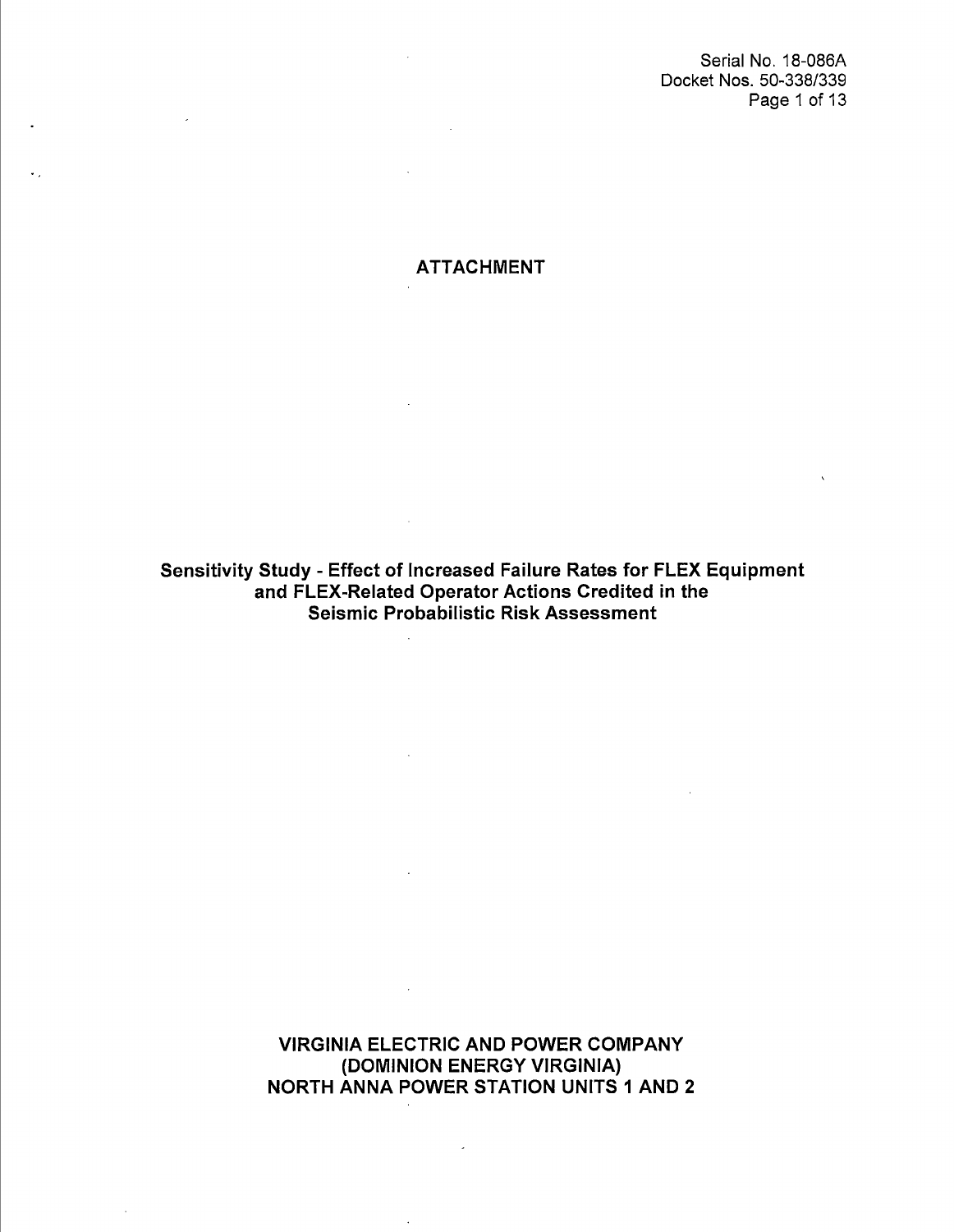Serial No. 18-086A Docket Nos. 50-338/339 Page 1 of 13

ATTACHMENT

 $\bullet$ 

 $\ddot{\phantom{a}}$ 

Sensitivity Study - Effect of Increased Failure Rates for FLEX Equipment and FLEX-Related Operator Actions Credited in the Seismic Probabilistic Risk Assessment

 $\sim 10^{-11}$ 

 $\sim$ 

 $\mathcal{A}$ 

 $\sim 10^{11}$ 

VIRGINIA ELECTRIC AND POWER COMPANY (DOMINION ENERGY VIRGINIA) NORTH ANNA POWER STATION UNITS 1 AND 2

 $\overline{\phantom{a}}$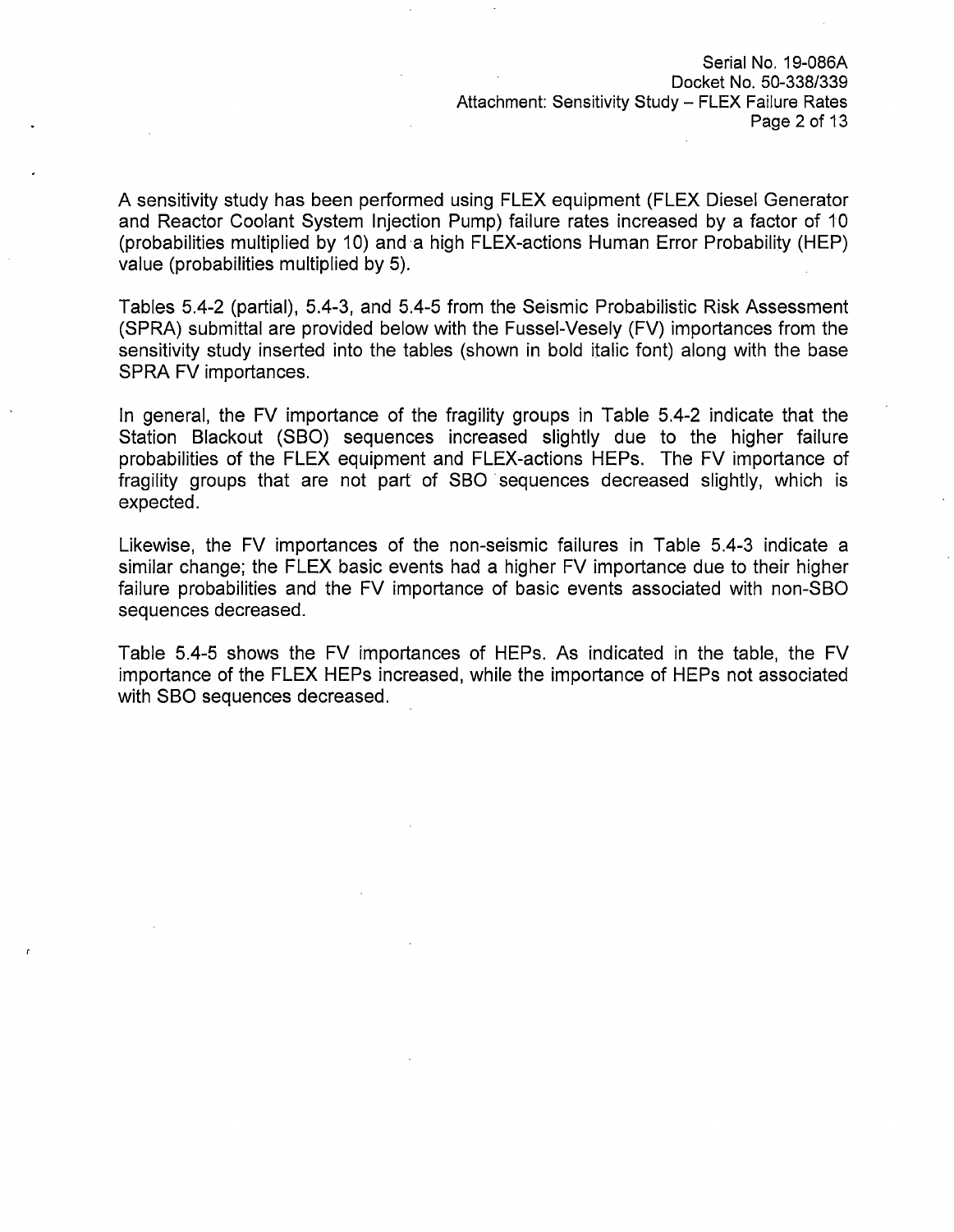Serial No. 19-086A Docket No. 50-338/339 Attachment: Sensitivity Study - FLEX Failure Rates Page 2 of 13

A sensitivity study has been performed using FLEX equipment (FLEX Diesel Generator and Reactor Coolant System Injection Pump) failure rates increased by a factor of 10 (probabilities multiplied by 10) and ·a high FLEX-actions Human Error Probability (HEP) value (probabilities multiplied by 5).

Tables 5.4-2 (partial), 5.4-3, and 5.4-5 from the Seismic Probabilistic Risk Assessment (SPRA) submittal are provided below with the Fussel-Vesely (FV) importances from the sensitivity study inserted into the tables (shown in bold italic font) along with the base SPRA FV importances.

In general, the FV importance of the fragility groups in Table 5.4-2 indicate that the Station Blackout (SBO) sequences increased slightly due to the higher failure probabilities of the FLEX equipment and FLEX-actions HEPs. The FV importance of fragility groups that are not part of SBO sequences decreased slightly, which is expected.

Likewise, the FV importances of the non-seismic failures in Table 5.4-3 indicate a similar change; the FLEX basic events had a higher FV importance due to their higher failure probabilities and the FV importance of basic events associated with non-SBO sequences decreased.

Table 5.4-5 shows the FV importances of HEPs. As indicated in the table, the FV importance of the FLEX HEPs increased, while the importance of HEPs not associated with SBO sequences decreased.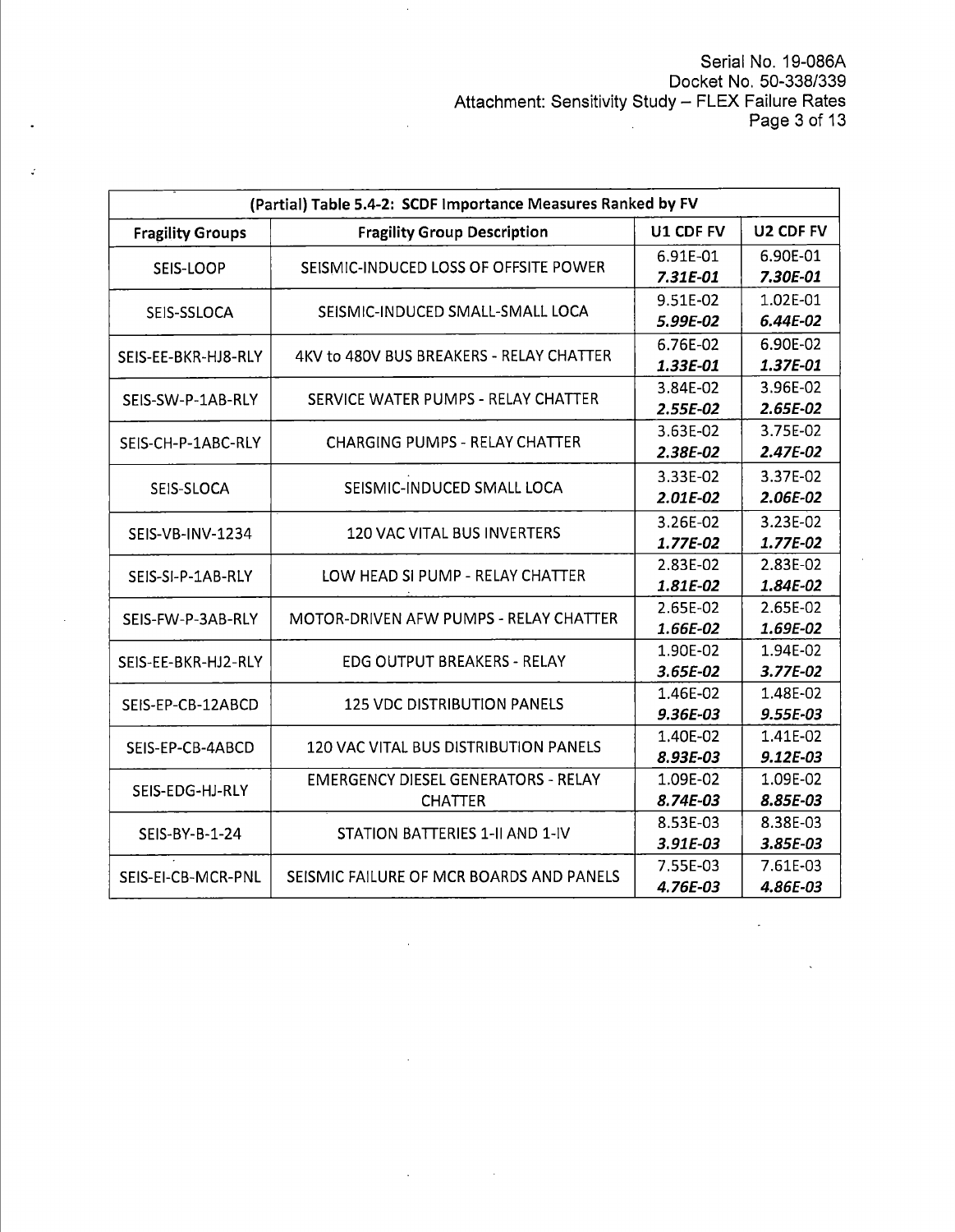$\mathbb{Z}_2$ 

| (Partial) Table 5.4-2: SCDF Importance Measures Ranked by FV |                                                      |                      |            |  |
|--------------------------------------------------------------|------------------------------------------------------|----------------------|------------|--|
| <b>Fragility Groups</b>                                      | <b>Fragility Group Description</b>                   | U1 CDF FV            | U2 CDF FV  |  |
|                                                              |                                                      | 6.91E-01             | 6.90E-01   |  |
| SEIS-LOOP                                                    | SEISMIC-INDUCED LOSS OF OFFSITE POWER                | 7.31E-01             | 7.30E-01   |  |
|                                                              |                                                      | 9.51E-02             | 1.02E-01   |  |
| SEIS-SSLOCA                                                  | SEISMIC-INDUCED SMALL-SMALL LOCA                     | 5.99E-02             | 6.44E-02   |  |
|                                                              |                                                      | 6.90E-02<br>6.76E-02 |            |  |
| SEIS-EE-BKR-HJ8-RLY                                          | 4KV to 480V BUS BREAKERS - RELAY CHATTER             | 1.33E-01             | 1.37E-01   |  |
|                                                              |                                                      | 3.84E-02             | 3.96E-02   |  |
| SEIS-SW-P-1AB-RLY                                            | SERVICE WATER PUMPS - RELAY CHATTER                  | 2.55E-02             | 2.65E-02   |  |
|                                                              |                                                      | 3.63E-02             | 3.75E-02   |  |
| SEIS-CH-P-1ABC-RLY                                           | <b>CHARGING PUMPS - RELAY CHATTER</b>                | 2.38E-02             | 2.47E-02   |  |
|                                                              |                                                      | 3.33E-02             | 3.37E-02   |  |
| SEIS-SLOCA                                                   | SEISMIC-INDUCED SMALL LOCA                           | 2.01E-02             | 2.06E-02   |  |
|                                                              |                                                      | 3.26E-02             | 3.23E-02   |  |
| SEIS-VB-INV-1234                                             | <b>120 VAC VITAL BUS INVERTERS</b>                   | 1.77E-02             | 1.77E-02   |  |
| SEIS-SI-P-1AB-RLY                                            |                                                      | 2.83E-02             | 2.83E-02   |  |
|                                                              | LOW HEAD SI PUMP - RELAY CHATTER                     | 1.81E-02             | 1.84E-02   |  |
| SEIS-FW-P-3AB-RLY                                            | <b>MOTOR-DRIVEN AFW PUMPS - RELAY CHATTER</b>        | 2.65E-02<br>2.65E-02 |            |  |
|                                                              |                                                      | 1.66E-02             | 1.69E-02   |  |
| SEIS-EE-BKR-HJ2-RLY                                          | <b>EDG OUTPUT BREAKERS - RELAY</b>                   | 1.90E-02             | 1.94E-02   |  |
|                                                              |                                                      | 3.65E-02             | 3.77E-02   |  |
| SEIS-EP-CB-12ABCD                                            | <b>125 VDC DISTRIBUTION PANELS</b>                   | 1.46E-02             | 1.48E-02   |  |
|                                                              |                                                      | 9.36E-03             | 9.55E-03   |  |
| SEIS-EP-CB-4ABCD                                             | <b>120 VAC VITAL BUS DISTRIBUTION PANELS</b>         | 1.40E-02             | 1.41E-02   |  |
|                                                              |                                                      | 8.93E-03             | $9.12E-03$ |  |
| SEIS-EDG-HJ-RLY                                              | <b>EMERGENCY DIESEL GENERATORS - RELAY</b>           | 1.09E-02             | 1.09E-02   |  |
|                                                              | <b>CHATTER</b>                                       | 8.74E-03             | 8.85E-03   |  |
| SEIS-BY-B-1-24                                               | STATION BATTERIES 1-II AND 1-IV                      | 8.53E-03             | 8.38E-03   |  |
|                                                              |                                                      | 3.91E-03             | 3.85E-03   |  |
| SEIS-EI-CB-MCR-PNL                                           | 7.55E-03<br>SEISMIC FAILURE OF MCR BOARDS AND PANELS |                      | 7.61E-03   |  |
|                                                              |                                                      | 4.86E-03             |            |  |

 $\sim$   $\sim$ 

 $\bar{a}$ 

 $\mathcal{L}^{\pm}$ 

 $\mathcal{L}^{\text{max}}_{\text{max}}$  and  $\mathcal{L}^{\text{max}}_{\text{max}}$ 

 $\hat{\mathcal{A}}$ 

 $\bar{z}$ 

 $\overline{\phantom{a}}$ 

 $\ddot{\cdot}$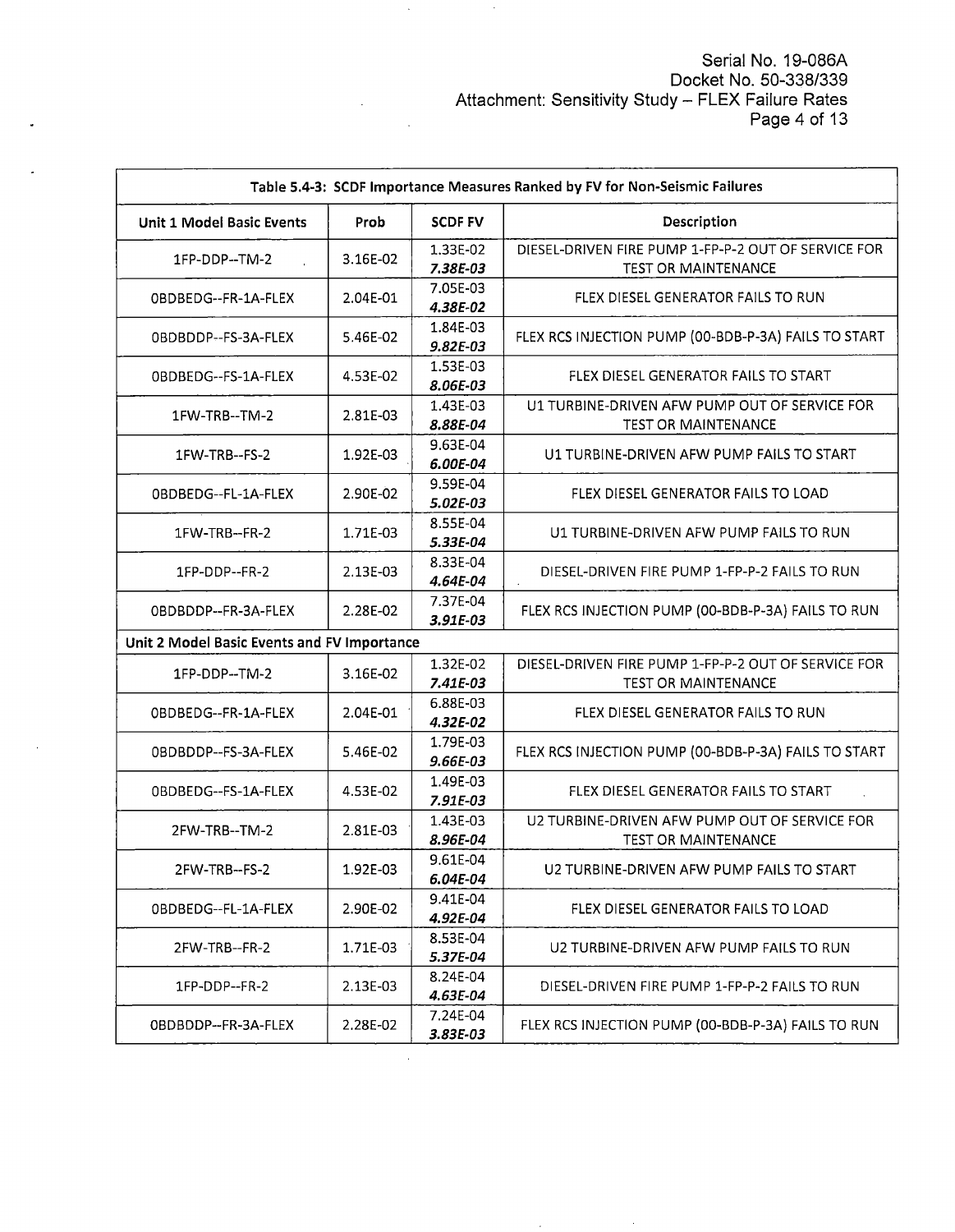Serial No. 19-086A Docket No. 50-338/339 Attachment: Sensitivity Study – FLEX Failure Rates Page 4 of 13

| Table 5.4-3: SCDF Importance Measures Ranked by FV for Non-Seismic Failures |          |                        |                                                                                   |  |
|-----------------------------------------------------------------------------|----------|------------------------|-----------------------------------------------------------------------------------|--|
| <b>Unit 1 Model Basic Events</b>                                            | Prob     | <b>SCDF FV</b>         | Description                                                                       |  |
| 1FP-DDP--TM-2                                                               | 3.16E-02 | 1.33E-02<br>7.38E-03   | DIESEL-DRIVEN FIRE PUMP 1-FP-P-2 OUT OF SERVICE FOR<br><b>TEST OR MAINTENANCE</b> |  |
| OBDBEDG--FR-1A-FLEX                                                         | 2.04E-01 | 7.05E-03<br>4.38E-02   | FLEX DIESEL GENERATOR FAILS TO RUN                                                |  |
| OBDBDDP--FS-3A-FLEX                                                         | 5.46E-02 | 1.84E-03<br>$9.82E-03$ | FLEX RCS INJECTION PUMP (00-BDB-P-3A) FAILS TO START                              |  |
| OBDBEDG--FS-1A-FLEX                                                         | 4.53E-02 | 1.53E-03<br>8.06E-03   | FLEX DIESEL GENERATOR FAILS TO START                                              |  |
| 1FW-TRB--TM-2                                                               | 2.81E-03 | 1.43E-03<br>8.88E-04   | U1 TURBINE-DRIVEN AFW PUMP OUT OF SERVICE FOR<br><b>TEST OR MAINTENANCE</b>       |  |
| 1FW-TRB--FS-2                                                               | 1.92E-03 | 9.63E-04<br>6.00E-04   | U1 TURBINE-DRIVEN AFW PUMP FAILS TO START                                         |  |
| 0BDBEDG--FL-1A-FLEX                                                         | 2.90E-02 | 9.59E-04<br>5.02E-03   | FLEX DIESEL GENERATOR FAILS TO LOAD                                               |  |
| 1FW-TRB--FR-2                                                               | 1.71E-03 | 8.55E-04<br>5.33E-04   | U1 TURBINE-DRIVEN AFW PUMP FAILS TO RUN                                           |  |
| 1FP-DDP--FR-2                                                               | 2.13E-03 | 8.33E-04<br>4.64E-04   | DIESEL-DRIVEN FIRE PUMP 1-FP-P-2 FAILS TO RUN                                     |  |
| OBDBDDP--FR-3A-FLEX                                                         | 2.28E-02 | 7.37E-04<br>3.91E-03   | FLEX RCS INJECTION PUMP (00-BDB-P-3A) FAILS TO RUN                                |  |
| Unit 2 Model Basic Events and FV Importance                                 |          |                        |                                                                                   |  |
| 1FP-DDP--TM-2                                                               | 3.16E-02 | 1.32E-02<br>7.41E-03   | DIESEL-DRIVEN FIRE PUMP 1-FP-P-2 OUT OF SERVICE FOR<br>TEST OR MAINTENANCE        |  |
| OBDBEDG--FR-1A-FLEX                                                         | 2.04E-01 | 6.88E-03<br>4.32E-02   | FLEX DIESEL GENERATOR FAILS TO RUN                                                |  |
| 0BDBDDP--FS-3A-FLEX                                                         | 5.46E-02 | 1.79E-03<br>9.66E-03   | FLEX RCS INJECTION PUMP (00-BDB-P-3A) FAILS TO START                              |  |
| OBDBEDG--FS-1A-FLEX                                                         | 4.53E-02 | 1.49E-03<br>7.91E-03   | FLEX DIESEL GENERATOR FAILS TO START                                              |  |
| 2FW-TRB--TM-2                                                               | 2.81E-03 | 1.43E-03<br>8.96E-04   | U2 TURBINE-DRIVEN AFW PUMP OUT OF SERVICE FOR<br><b>TEST OR MAINTENANCE</b>       |  |
| 2FW-TRB--FS-2                                                               | 1.92E-03 | 9.61E-04<br>6.04E-04   | U2 TURBINE-DRIVEN AFW PUMP FAILS TO START                                         |  |
| 0BDBEDG--FL-1A-FLEX                                                         | 2.90E-02 | 9.41E-04<br>4.92E-04   | FLEX DIESEL GENERATOR FAILS TO LOAD                                               |  |
| 2FW-TRB--FR-2                                                               | 1.71E-03 | 8.53E-04<br>5.37E-04   | U2 TURBINE-DRIVEN AFW PUMP FAILS TO RUN                                           |  |
| 1FP-DDP--FR-2                                                               | 2.13E-03 | 8.24E-04<br>4.63E-04   | DIESEL-DRIVEN FIRE PUMP 1-FP-P-2 FAILS TO RUN                                     |  |
| OBDBDDP--FR-3A-FLEX                                                         | 2.28E-02 | 7.24E-04<br>3.83E-03   | FLEX RCS INJECTION PUMP (00-BDB-P-3A) FAILS TO RUN                                |  |

 $\frac{1}{2}$ 

 $\hat{\boldsymbol{\beta}}$ 

 $\bar{\beta}$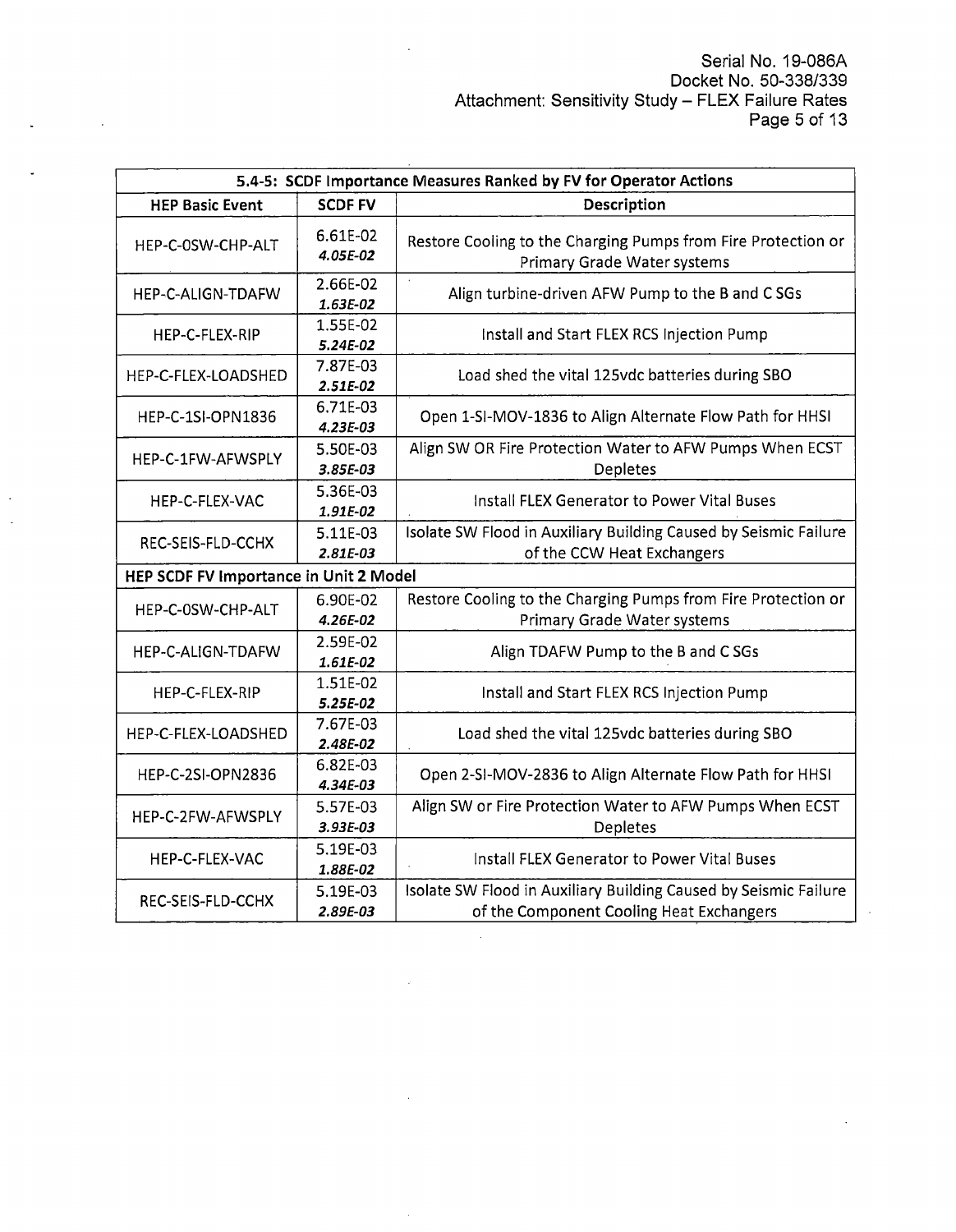| 5.4-5: SCDF Importance Measures Ranked by FV for Operator Actions |                        |                                                                                                              |  |  |
|-------------------------------------------------------------------|------------------------|--------------------------------------------------------------------------------------------------------------|--|--|
| <b>HEP Basic Event</b>                                            | <b>SCDF FV</b>         | Description                                                                                                  |  |  |
| HEP-C-0SW-CHP-ALT                                                 | 6.61E-02<br>4.05E-02   | Restore Cooling to the Charging Pumps from Fire Protection or<br>Primary Grade Water systems                 |  |  |
| <b>HEP-C-ALIGN-TDAFW</b>                                          | 2.66E-02<br>1.63E-02   | Align turbine-driven AFW Pump to the B and C SGs                                                             |  |  |
| HEP-C-FLEX-RIP                                                    | 1.55E-02<br>5.24E-02   | Install and Start FLEX RCS Injection Pump                                                                    |  |  |
| HEP-C-FLEX-LOADSHED                                               | 7.87E-03<br>$2.51E-02$ | Load shed the vital 125vdc batteries during SBO                                                              |  |  |
| <b>HEP-C-1SI-OPN1836</b>                                          | 6.71E-03<br>$4.23E-03$ | Open 1-SI-MOV-1836 to Align Alternate Flow Path for HHSI                                                     |  |  |
| HEP-C-1FW-AFWSPLY                                                 | 5.50E-03<br>3.85E-03   | Align SW OR Fire Protection Water to AFW Pumps When ECST<br>Depletes                                         |  |  |
| HEP-C-FLEX-VAC                                                    | 5.36E-03<br>1.91E-02   | <b>Install FLEX Generator to Power Vital Buses</b>                                                           |  |  |
| REC-SEIS-FLD-CCHX                                                 | 5.11E-03<br>2.81E-03   | Isolate SW Flood in Auxiliary Building Caused by Seismic Failure<br>of the CCW Heat Exchangers               |  |  |
| HEP SCDF FV Importance in Unit 2 Model                            |                        |                                                                                                              |  |  |
| HEP-C-0SW-CHP-ALT                                                 | 6.90E-02<br>4.26E-02   | Restore Cooling to the Charging Pumps from Fire Protection or<br>Primary Grade Water systems                 |  |  |
| HEP-C-ALIGN-TDAFW                                                 | 2.59E-02<br>1.61E-02   | Align TDAFW Pump to the B and CSGs                                                                           |  |  |
| HEP-C-FLEX-RIP                                                    | 1.51E-02<br>5.25E-02   | Install and Start FLEX RCS Injection Pump                                                                    |  |  |
| HEP-C-FLEX-LOADSHED                                               | 7.67E-03<br>2.48E-02   | Load shed the vital 125vdc batteries during SBO                                                              |  |  |
| <b>HEP-C-2SI-OPN2836</b>                                          | 6.82E-03<br>4.34E-03   | Open 2-SI-MOV-2836 to Align Alternate Flow Path for HHSI                                                     |  |  |
| HEP-C-2FW-AFWSPLY                                                 | 5.57E-03<br>$3.93E-03$ | Align SW or Fire Protection Water to AFW Pumps When ECST<br>Depletes                                         |  |  |
| HEP-C-FLEX-VAC                                                    | 5.19E-03<br>1.88E-02   | Install FLEX Generator to Power Vital Buses                                                                  |  |  |
| 5.19E-03<br>REC-SEIS-FLD-CCHX<br>2.89E-03                         |                        | Isolate SW Flood in Auxiliary Building Caused by Seismic Failure<br>of the Component Cooling Heat Exchangers |  |  |

 $\hat{\mathcal{A}}$ 

 $\bar{z}$ 

 $\sim 10$ 

 $\overline{\phantom{a}}$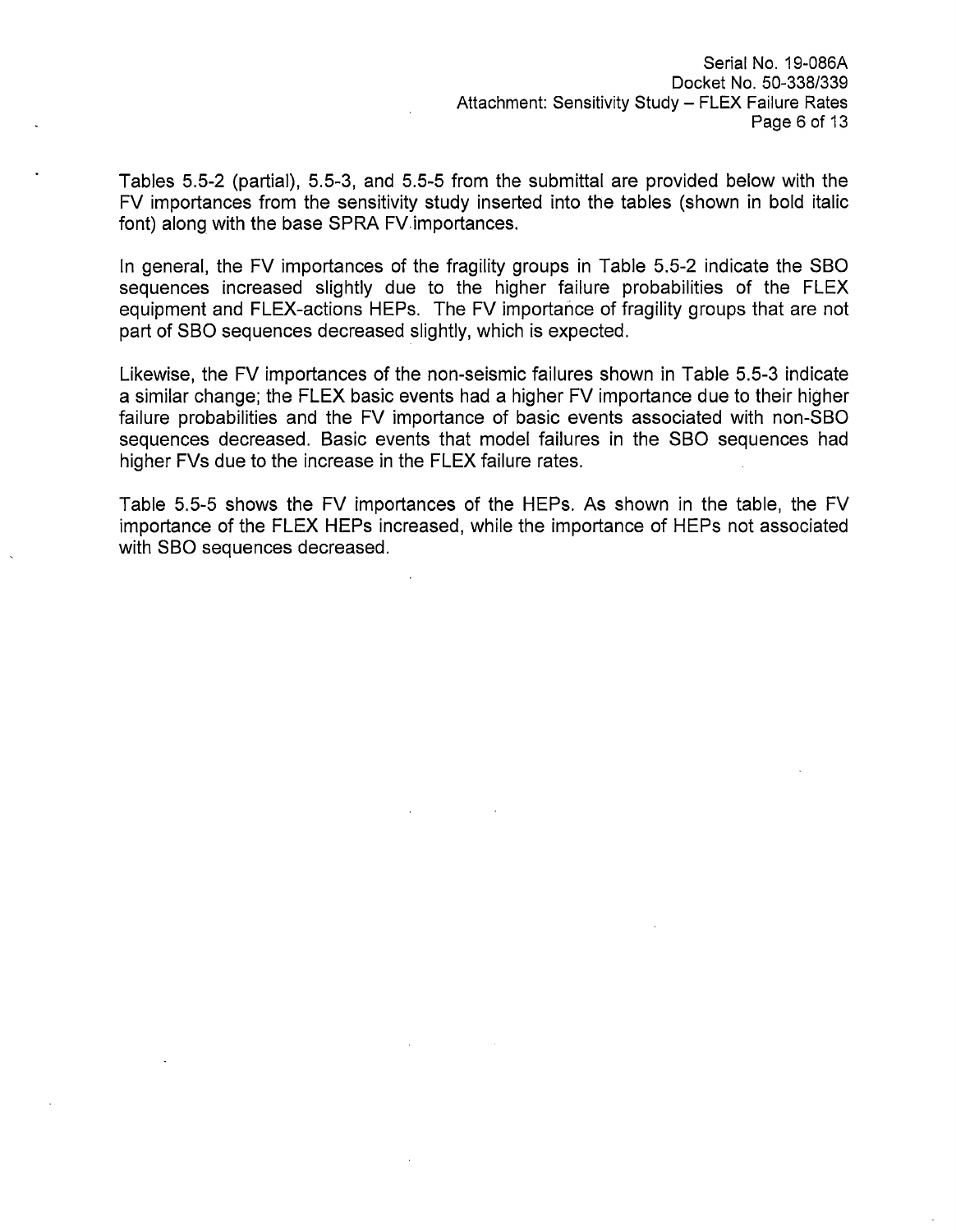Tables 5.5-2 (partial), 5.5-3, and 5.5-5 from the submittal are provided below with the FV importances from the sensitivity study inserted into the tables (shown in bold italic font) along with the base SPRA FV.importances.

In general, the FV importances of the fragility groups in Table 5.5-2 indicate the SBO sequences increased slightly due to the higher failure probabilities of the FLEX equipment and FLEX-actions HEPs. The FV importance of fragility groups that are not part of SBO sequences decreased slightly, which is expected.

Likewise, the FV importances of the non-seismic failures shown in Table 5.5-3 indicate a similar change; the FLEX basic events had a higher FV importance due to their higher failure probabilities and the FV importance of basic events associated with non-SBO sequences decreased. Basic events that model failures in the SBO sequences had higher FVs due to the increase in the FLEX failure rates.

Table 5.5-5 shows the FV importances of the HEPs. As shown in the table, the FV importance of the FLEX HEPs increased, while the importance of HEPs not associated with SBO sequences decreased.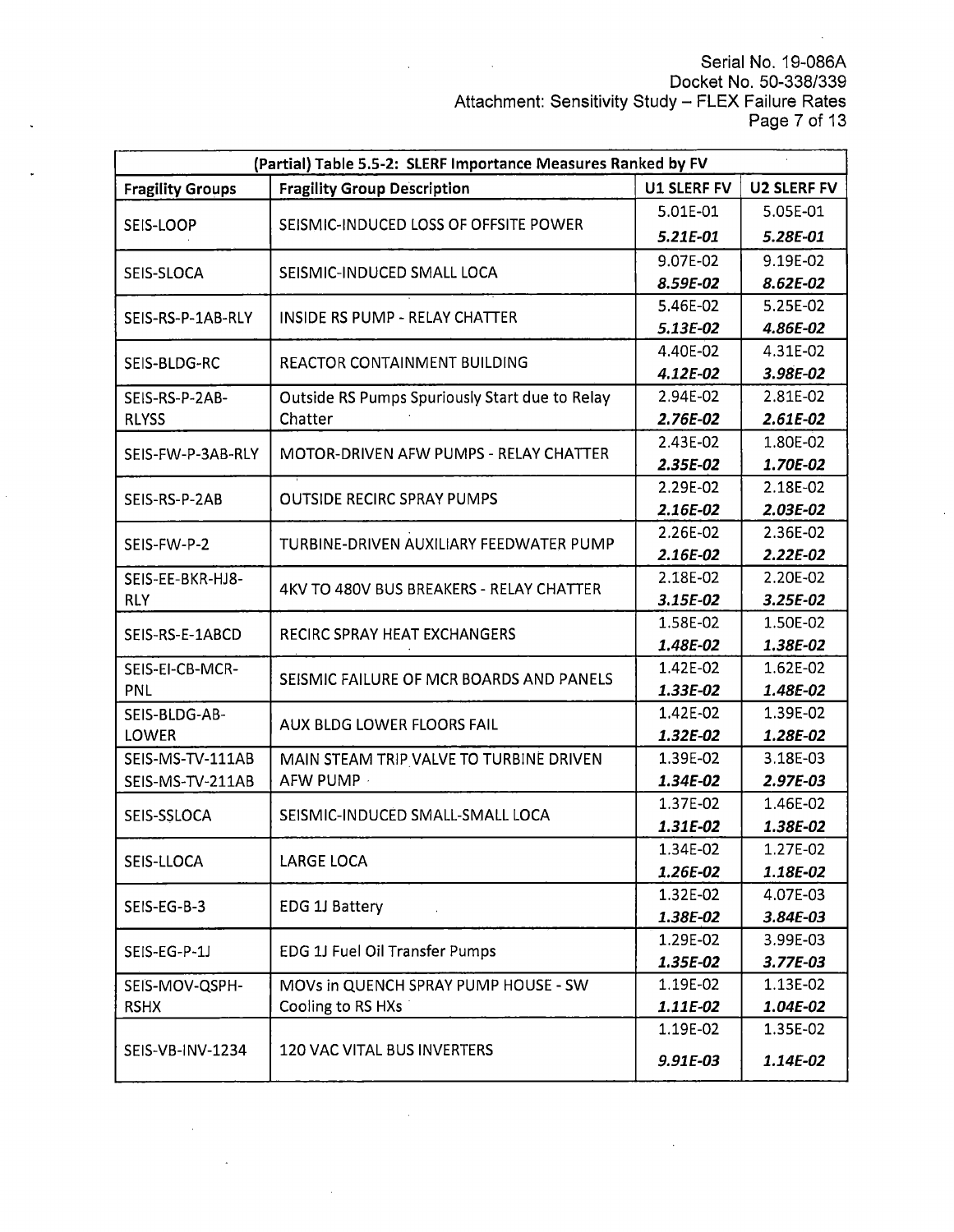Serial No. 19-086A Docket No. 50-338/339 Attachment: Sensitivity Study – FLEX Failure Rates Page 7 of 13

 $\overline{\phantom{a}}$ 

| (Partial) Table 5.5-2: SLERF Importance Measures Ranked by FV |                                                |                    |                    |  |
|---------------------------------------------------------------|------------------------------------------------|--------------------|--------------------|--|
| <b>Fragility Groups</b>                                       | <b>Fragility Group Description</b>             | <b>U1 SLERF FV</b> | <b>U2 SLERF FV</b> |  |
| SEIS-LOOP                                                     |                                                | 5.01E-01           | 5.05E-01           |  |
|                                                               | SEISMIC-INDUCED LOSS OF OFFSITE POWER          | 5.21E-01           | 5.28E-01           |  |
|                                                               |                                                | 9.07E-02           | 9.19E-02           |  |
| SEIS-SLOCA                                                    | SEISMIC-INDUCED SMALL LOCA                     | 8.59E-02           | 8.62E-02           |  |
|                                                               | <b>INSIDE RS PUMP - RELAY CHATTER</b>          | 5.46E-02           | 5.25E-02           |  |
| SEIS-RS-P-1AB-RLY                                             |                                                | 5.13E-02           | 4.86E-02           |  |
| SEIS-BLDG-RC                                                  | REACTOR CONTAINMENT BUILDING                   | 4.40E-02           | 4.31E-02           |  |
|                                                               |                                                | 4.12E-02           | 3.98E-02           |  |
| SEIS-RS-P-2AB-                                                | Outside RS Pumps Spuriously Start due to Relay | 2.94E-02           | 2.81E-02           |  |
| <b>RLYSS</b>                                                  | Chatter                                        | 2.76E-02           | $2.61E-02$         |  |
| SEIS-FW-P-3AB-RLY                                             | MOTOR-DRIVEN AFW PUMPS - RELAY CHATTER         | 2.43E-02           | 1.80E-02           |  |
|                                                               |                                                | 2.35E-02           | 1.70E-02           |  |
| SEIS-RS-P-2AB                                                 | <b>OUTSIDE RECIRC SPRAY PUMPS</b>              | 2.29E-02           | 2.18E-02           |  |
|                                                               |                                                | 2.16E-02           | 2.03E-02           |  |
| SEIS-FW-P-2                                                   | TURBINE-DRIVEN AUXILIARY FEEDWATER PUMP        | 2.26E-02           | 2.36E-02           |  |
|                                                               |                                                | 2.16E-02           | $2.22E-02$         |  |
| SEIS-EE-BKR-HJ8-                                              | 4KV TO 480V BUS BREAKERS - RELAY CHATTER       | 2.18E-02           | 2.20E-02           |  |
| <b>RLY</b>                                                    |                                                | 3.15E-02           | 3.25E-02           |  |
| SEIS-RS-E-1ABCD                                               | RECIRC SPRAY HEAT EXCHANGERS                   | 1.58E-02           | 1.50E-02           |  |
|                                                               |                                                | 1.48E-02           | 1.38E-02           |  |
| SEIS-EI-CB-MCR-                                               | SEISMIC FAILURE OF MCR BOARDS AND PANELS       | 1.42E-02           | 1.62E-02           |  |
| PNL                                                           |                                                | 1.33E-02           | 1.48E-02           |  |
| SEIS-BLDG-AB-                                                 | AUX BLDG LOWER FLOORS FAIL                     | 1.42E-02           | 1.39E-02           |  |
| <b>LOWER</b>                                                  |                                                | 1.32E-02           | 1.28E-02           |  |
| SEIS-MS-TV-111AB                                              | MAIN STEAM TRIP VALVE TO TURBINE DRIVEN        | 1.39E-02           | 3.18E-03           |  |
| SEIS-MS-TV-211AB                                              | AFW PUMP ·                                     | 1.34E-02           | 2.97E-03           |  |
| SEIS-SSLOCA                                                   | SEISMIC-INDUCED SMALL-SMALL LOCA               | 1.37E-02           | 1.46E-02           |  |
|                                                               |                                                | 1.31E-02           | 1.38E-02           |  |
| SEIS-LLOCA                                                    | <b>LARGE LOCA</b>                              | 1.34E-02           | 1.27E-02           |  |
|                                                               |                                                | 1.26E-02           | 1.18E-02           |  |
| SEIS-EG-B-3                                                   | EDG 1J Battery                                 | 1.32E-02           | 4.07E-03           |  |
|                                                               |                                                | 1.38E-02           | 3.84E-03           |  |
| SEIS-EG-P-1J                                                  | EDG 1J Fuel Oil Transfer Pumps                 | 1.29E-02           | 3.99E-03           |  |
|                                                               |                                                | 1.35E-02           | $3.77E-03$         |  |
| SEIS-MOV-QSPH-                                                | MOVs in QUENCH SPRAY PUMP HOUSE - SW           | 1.19E-02           | 1.13E-02           |  |
| <b>RSHX</b>                                                   | Cooling to RS HXs                              | 1.11E-02           | 1.04E-02           |  |
|                                                               |                                                | 1.19E-02           | 1.35E-02           |  |
| SEIS-VB-INV-1234                                              | <b>120 VAC VITAL BUS INVERTERS</b>             | 9.91E-03           | 1.14E-02           |  |

 $\ddot{\phantom{a}}$ 

 $\bar{z}$ 

 $\bar{\lambda}$ 

l,

 $\sim$ 

L.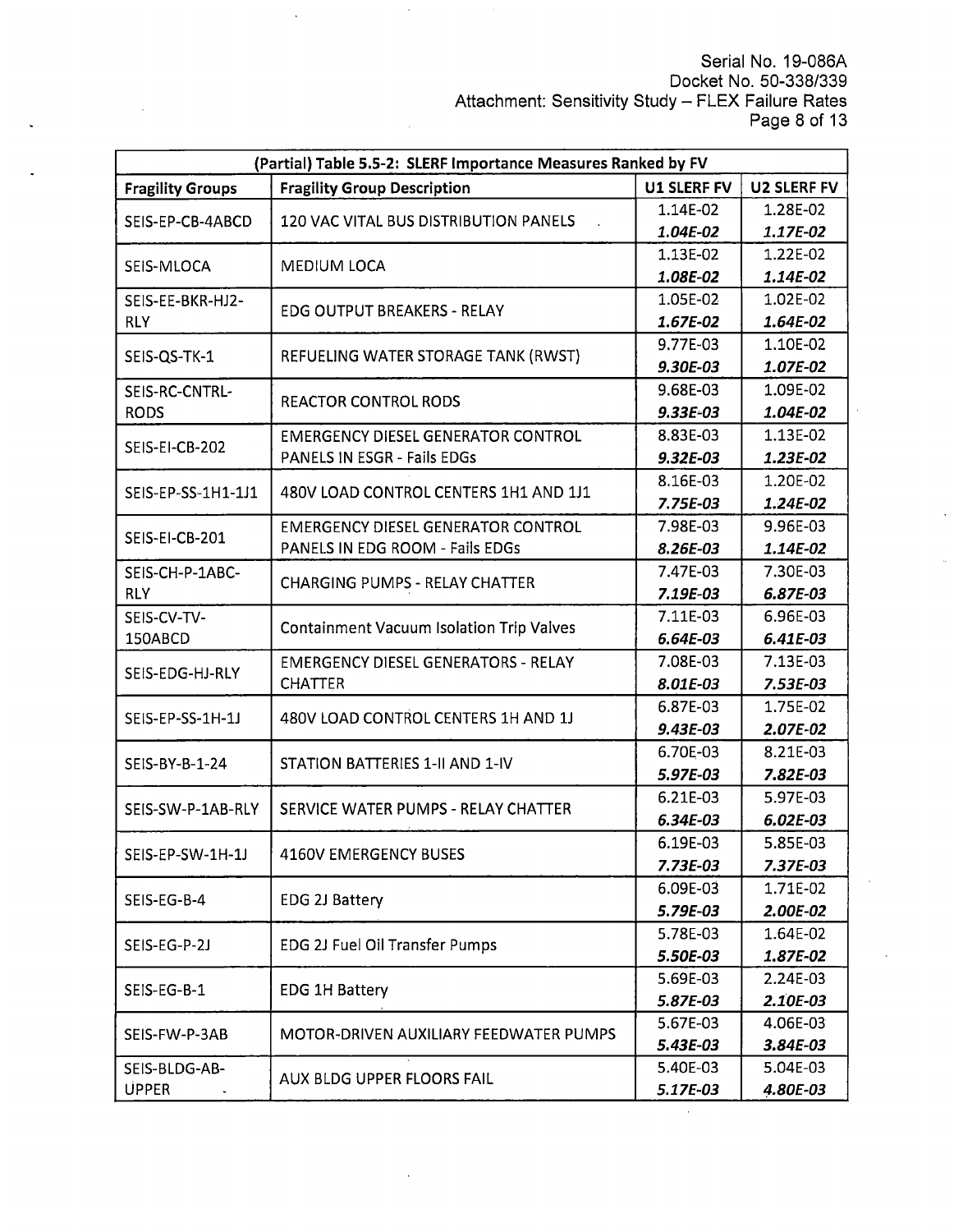Serial No. 19-086A Docket No. 50-338/339 Attachment: Sensitivity Study – FLEX Failure Rates Page 8 of 13

 $\mathbb{R}^2$ 

| (Partial) Table 5.5-2: SLERF Importance Measures Ranked by FV |                                                 |             |                    |  |
|---------------------------------------------------------------|-------------------------------------------------|-------------|--------------------|--|
| <b>Fragility Groups</b>                                       | <b>Fragility Group Description</b>              | U1 SLERF FV | <b>U2 SLERF FV</b> |  |
|                                                               | 120 VAC VITAL BUS DISTRIBUTION PANELS           | 1.14E-02    | 1.28E-02           |  |
| SEIS-EP-CB-4ABCD                                              |                                                 | 1.04E-02    | 1.17E-02           |  |
|                                                               |                                                 | 1.13E-02    | 1.22E-02           |  |
| SEIS-MLOCA                                                    | MEDIUM LOCA                                     | 1.08E-02    | 1.14E-02           |  |
| SEIS-EE-BKR-HJ2-                                              |                                                 | 1.05E-02    | 1.02E-02           |  |
| <b>RLY</b>                                                    | <b>EDG OUTPUT BREAKERS - RELAY</b>              | 1.67E-02    | 1.64E-02           |  |
| SEIS-QS-TK-1                                                  | REFUELING WATER STORAGE TANK (RWST)             | 9.77E-03    | 1.10E-02           |  |
|                                                               |                                                 | 9.30E-03    | 1.07E-02           |  |
| SEIS-RC-CNTRL-                                                |                                                 | 9.68E-03    | 1.09E-02           |  |
| <b>RODS</b>                                                   | <b>REACTOR CONTROL RODS</b>                     | 9.33E-03    | 1.04E-02           |  |
| SEIS-EI-CB-202                                                | <b>EMERGENCY DIESEL GENERATOR CONTROL</b>       | 8.83E-03    | 1.13E-02           |  |
|                                                               | PANELS IN ESGR - Fails EDGs                     | $9.32E-03$  | 1.23E-02           |  |
| SEIS-EP-SS-1H1-1J1                                            | 480V LOAD CONTROL CENTERS 1H1 AND 1J1           | 8.16E-03    | 1.20E-02           |  |
|                                                               |                                                 | 7.75E-03    | 1.24E-02           |  |
| SEIS-EI-CB-201                                                | <b>EMERGENCY DIESEL GENERATOR CONTROL</b>       | 7.98E-03    | 9.96E-03           |  |
|                                                               | PANELS IN EDG ROOM - Fails EDGs                 | 8.26E-03    | 1.14E-02           |  |
| SEIS-CH-P-1ABC-                                               |                                                 | 7.47E-03    | 7.30E-03           |  |
| <b>RLY</b>                                                    | <b>CHARGING PUMPS - RELAY CHATTER</b>           | 7.19E-03    | 6.87E-03           |  |
| SEIS-CV-TV-<br>150ABCD                                        | <b>Containment Vacuum Isolation Trip Valves</b> | 7.11E-03    | 6.96E-03           |  |
|                                                               |                                                 | 6.64E-03    | 6.41E-03           |  |
| SEIS-EDG-HJ-RLY                                               | <b>EMERGENCY DIESEL GENERATORS - RELAY</b>      | 7.08E-03    | 7.13E-03           |  |
|                                                               | <b>CHATTER</b>                                  | 8.01E-03    | 7.53E-03           |  |
| SEIS-EP-SS-1H-1J                                              | 480V LOAD CONTROL CENTERS 1H AND 1J             | 6.87E-03    | 1.75E-02           |  |
|                                                               |                                                 | 9.43E-03    | 2.07E-02           |  |
| SEIS-BY-B-1-24                                                | STATION BATTERIES 1-II AND 1-IV                 | 6.70E-03    | 8.21E-03           |  |
|                                                               |                                                 | 5.97E-03    | 7.82E-03           |  |
| SEIS-SW-P-1AB-RLY                                             | SERVICE WATER PUMPS - RELAY CHATTER             | 6.21E-03    | 5.97E-03           |  |
|                                                               |                                                 | 6.34E-03    | 6.02E-03           |  |
| SEIS-EP-SW-1H-1J                                              | <b>4160V EMERGENCY BUSES</b>                    | 6.19E-03    | 5.85E-03           |  |
|                                                               |                                                 | $7.73E-03$  | 7.37E-03           |  |
| SEIS-EG-B-4                                                   |                                                 | 6.09E-03    | 1.71E-02           |  |
|                                                               | <b>EDG 2J Battery</b>                           | 5.79E-03    | 2.00E-02           |  |
| SEIS-EG-P-2J                                                  | EDG 2J Fuel Oil Transfer Pumps                  | 5.78E-03    | 1.64E-02           |  |
|                                                               |                                                 | 5.50E-03    | 1.87E-02           |  |
| SEIS-EG-B-1                                                   | <b>EDG 1H Battery</b>                           | 5.69E-03    | 2.24E-03           |  |
|                                                               |                                                 | 5.87E-03    | 2.10E-03           |  |
| SEIS-FW-P-3AB                                                 | MOTOR-DRIVEN AUXILIARY FEEDWATER PUMPS          | 5.67E-03    | 4.06E-03           |  |
|                                                               |                                                 | 5.43E-03    | $3.84E-03$         |  |
| SEIS-BLDG-AB-                                                 | AUX BLDG UPPER FLOORS FAIL                      | 5.40E-03    | 5.04E-03           |  |
| <b>UPPER</b>                                                  |                                                 | 5.17E-03    | 4.80E-03           |  |

 $\hat{\mathcal{A}}$ 

 $\bar{\mathcal{A}}$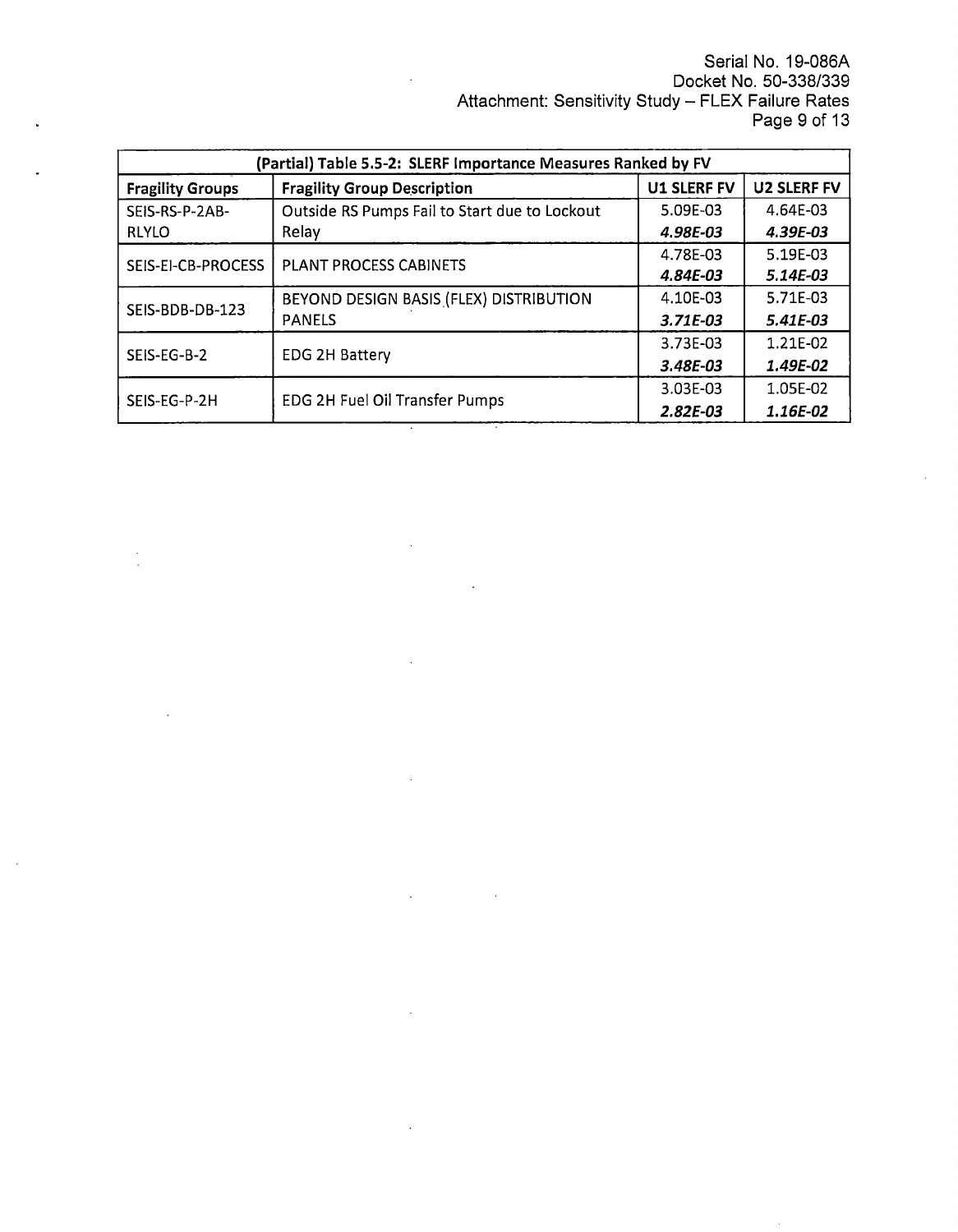Serial No. 19-086A Docket No. 50-338/339 Attachment: Sensitivity Study - FLEX Failure Rates Page 9 of 13

| (Partial) Table 5.5-2: SLERF Importance Measures Ranked by FV |                                                                                |            |          |  |
|---------------------------------------------------------------|--------------------------------------------------------------------------------|------------|----------|--|
| <b>Fragility Groups</b>                                       | <b>U2 SLERF FV</b><br><b>U1 SLERF FV</b><br><b>Fragility Group Description</b> |            |          |  |
| SEIS-RS-P-2AB-                                                | Outside RS Pumps Fail to Start due to Lockout                                  | 5.09E-03   | 4.64E-03 |  |
| <b>RLYLO</b>                                                  | Relay                                                                          | 4.98E-03   | 4.39E-03 |  |
| SEIS-EI-CB-PROCESS                                            | PLANT PROCESS CABINETS                                                         | 4.78E-03   | 5.19E-03 |  |
|                                                               |                                                                                | 4.84E-03   | 5.14E-03 |  |
| SEIS-BDB-DB-123                                               | BEYOND DESIGN BASIS (FLEX) DISTRIBUTION                                        | 4.10E-03   | 5.71F-03 |  |
|                                                               | <b>PANELS</b>                                                                  | $3.71E-03$ | 5.41E-03 |  |
| SEIS-EG-B-2                                                   |                                                                                | 3.73E-03   | 1.21E-02 |  |
|                                                               | <b>EDG 2H Battery</b>                                                          | 3.48E-03   | 1.49E-02 |  |
|                                                               |                                                                                | 3.03E-03   | 1.05E-02 |  |
| SEIS-EG-P-2H                                                  | <b>EDG 2H Fuel Oil Transfer Pumps</b>                                          | $2.82E-03$ | 1.16E-02 |  |

 $\ddot{\phantom{a}}$ 

 $\sim$ 

 $\ddot{\phantom{a}}$ 

 $\lambda$ 

 $\frac{1}{2}$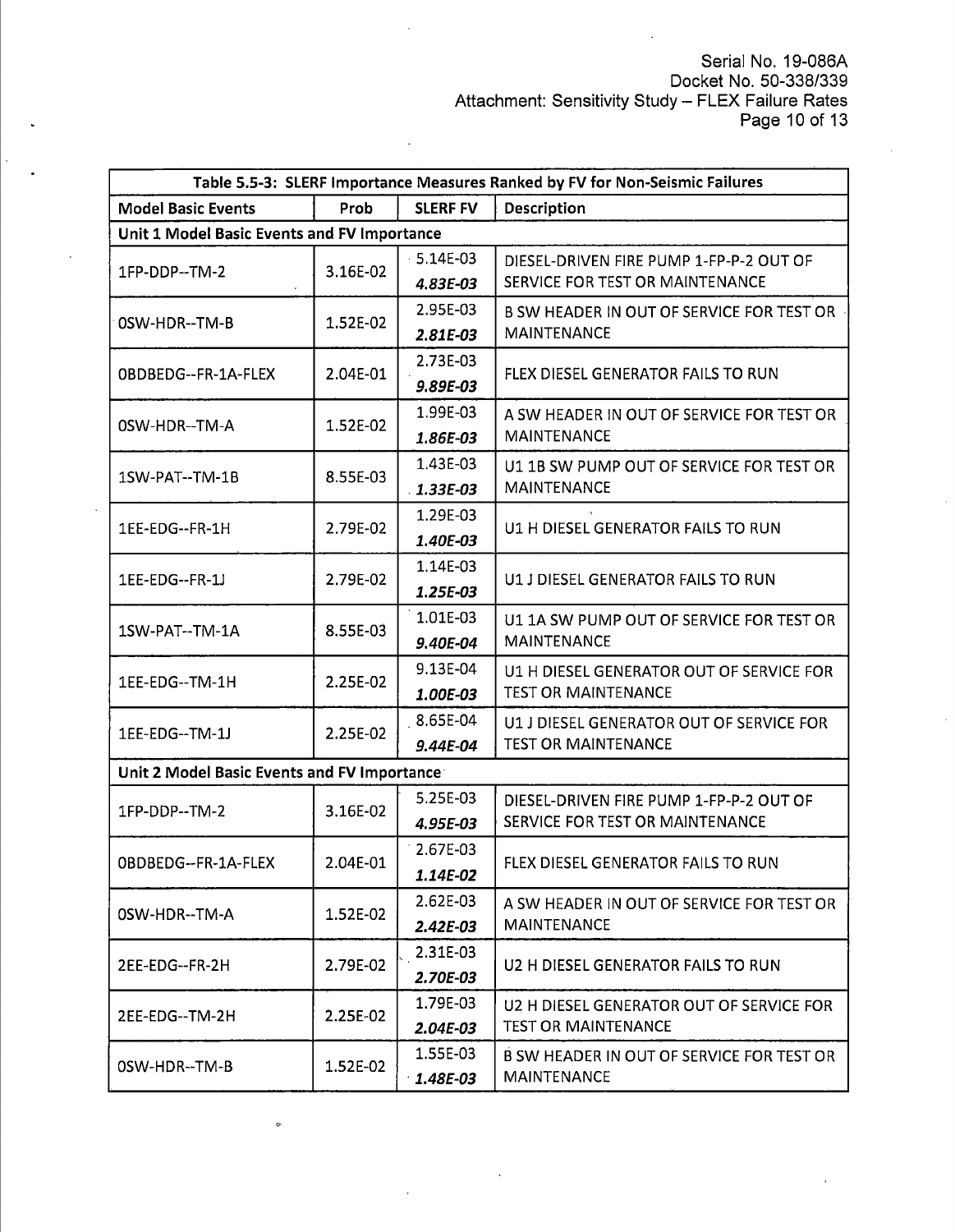Serial No. 19-086A Docket No. 50-338/339 Attachment: Sensitivity Study – FLEX Failure Rates Page 10 of 13

| Table 5.5-3: SLERF Importance Measures Ranked by FV for Non-Seismic Failures |          |                 |                                           |
|------------------------------------------------------------------------------|----------|-----------------|-------------------------------------------|
| <b>Model Basic Events</b>                                                    | Prob     | <b>SLERF FV</b> | Description                               |
| Unit 1 Model Basic Events and FV Importance                                  |          |                 |                                           |
| 1FP-DDP--TM-2                                                                | 3.16E-02 | 5.14E-03        | DIESEL-DRIVEN FIRE PUMP 1-FP-P-2 OUT OF   |
|                                                                              |          | 4.83E-03        | SERVICE FOR TEST OR MAINTENANCE           |
| OSW-HDR--TM-B                                                                | 1.52E-02 | 2.95E-03        | B SW HEADER IN OUT OF SERVICE FOR TEST OR |
|                                                                              |          | 2.81E-03        | <b>MAINTENANCE</b>                        |
| OBDBEDG--FR-1A-FLEX                                                          | 2.04E-01 | 2.73E-03        | <b>FLEX DIESEL GENERATOR FAILS TO RUN</b> |
|                                                                              |          | 9.89E-03        |                                           |
| 0SW-HDR--TM-A                                                                | 1.52E-02 | 1.99E-03        | A SW HEADER IN OUT OF SERVICE FOR TEST OR |
|                                                                              |          | 1.86E-03        | <b>MAINTENANCE</b>                        |
| 1SW-PAT--TM-1B                                                               | 8.55E-03 | 1.43E-03        | U1 1B SW PUMP OUT OF SERVICE FOR TEST OR  |
|                                                                              |          | $1.33E-03$      | <b>MAINTENANCE</b>                        |
| 1EE-EDG--FR-1H                                                               | 2.79E-02 | 1.29E-03        | U1 H DIESEL GENERATOR FAILS TO RUN        |
|                                                                              |          | 1.40E-03        |                                           |
| 1EE-EDG--FR-1J                                                               | 2.79E-02 | 1.14E-03        | U1 J DIESEL GENERATOR FAILS TO RUN        |
|                                                                              |          | 1.25E-03        |                                           |
| 1SW-PAT--TM-1A                                                               | 8.55E-03 | 1.01E-03        | U1 1A SW PUMP OUT OF SERVICE FOR TEST OR  |
|                                                                              |          | 9.40E-04        | <b>MAINTENANCE</b>                        |
| 1EE-EDG--TM-1H                                                               | 2.25E-02 | 9.13E-04        | U1 H DIESEL GENERATOR OUT OF SERVICE FOR  |
|                                                                              |          | 1.00E-03        | <b>TEST OR MAINTENANCE</b>                |
| 1EE-EDG--TM-1J                                                               | 2.25E-02 | 8.65E-04        | U1 J DIESEL GENERATOR OUT OF SERVICE FOR  |
|                                                                              |          | 9.44E-04        | <b>TEST OR MAINTENANCE</b>                |
| Unit 2 Model Basic Events and FV Importance                                  |          |                 |                                           |
| 1FP-DDP--TM-2                                                                | 3.16E-02 | 5.25E-03        | DIESEL-DRIVEN FIRE PUMP 1-FP-P-2 OUT OF   |
|                                                                              |          | 4.95E-03        | SERVICE FOR TEST OR MAINTENANCE           |
|                                                                              |          | 2.67E-03        |                                           |
| OBDBEDG--FR-1A-FLEX                                                          | 2.04E-01 | 1.14E-02        | FLEX DIESEL GENERATOR FAILS TO RUN        |
|                                                                              |          | 2.62E-03        | A SW HEADER IN OUT OF SERVICE FOR TEST OR |
| OSW-HDR--TM-A                                                                | 1.52E-02 | 2.42E-03        | <b>MAINTENANCE</b>                        |
|                                                                              |          | 2.31E-03        |                                           |
| 2EE-EDG--FR-2H                                                               | 2.79E-02 | 2.70E-03        | U2 H DIESEL GENERATOR FAILS TO RUN        |
| 2EE-EDG--TM-2H                                                               | 2.25E-02 | 1.79E-03        | U2 H DIESEL GENERATOR OUT OF SERVICE FOR  |
|                                                                              |          | 2.04E-03        | <b>TEST OR MAINTENANCE</b>                |
|                                                                              |          | 1.55E-03        | B SW HEADER IN OUT OF SERVICE FOR TEST OR |
| OSW-HDR--TM-B                                                                | 1.52E-02 | 1.48E-03        | <b>MAINTENANCE</b>                        |

 $\ddot{\circ}$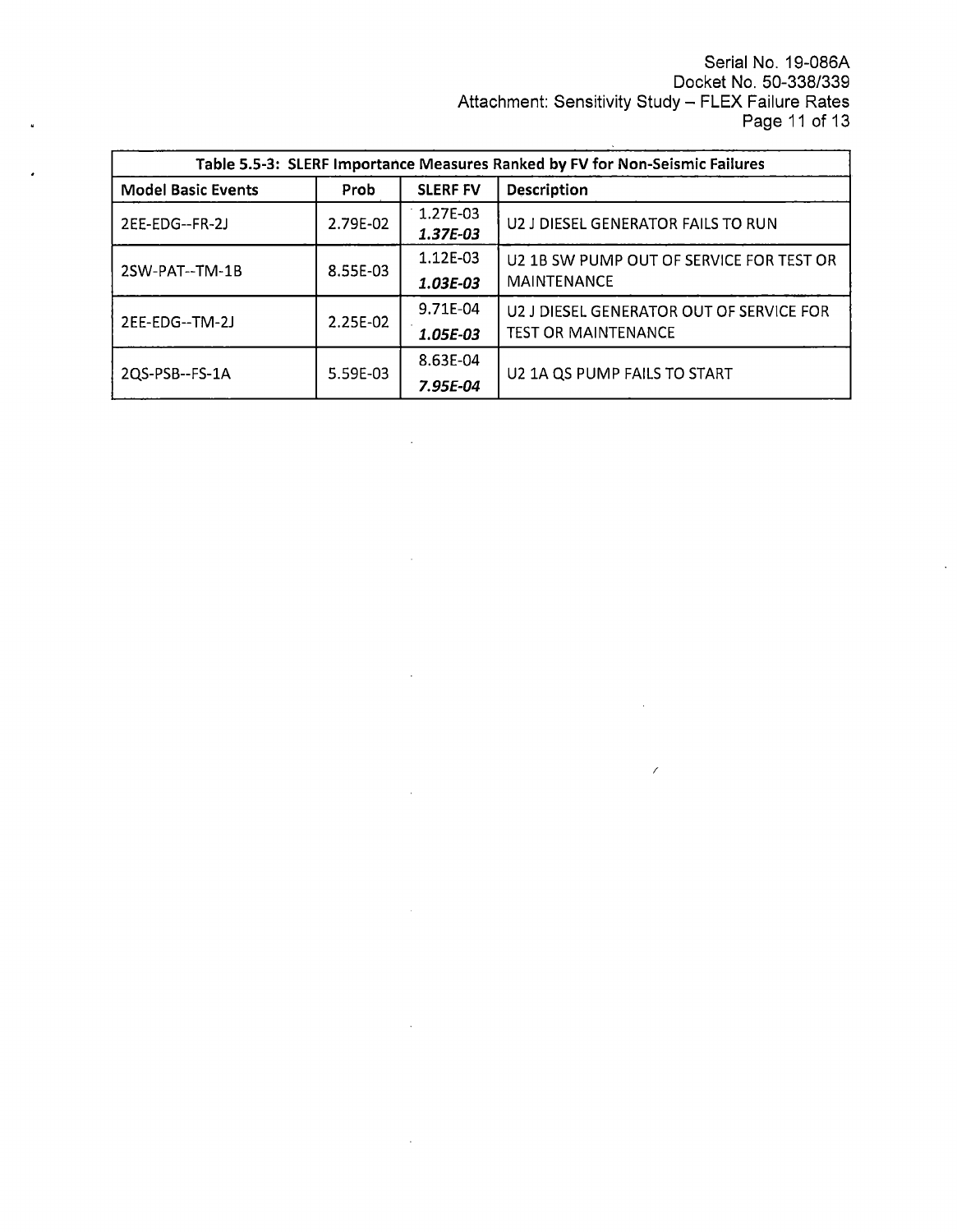Serial No. 19-086A Docket No. 50-338/339 Attachment: Sensitivity Study – FLEX Failure Rates Page 11 of 13

/

 $\sim$ 

 $\ddot{\phantom{a}}$ 

| Table 5.5-3: SLERF Importance Measures Ranked by FV for Non-Seismic Failures |          |                      |                                          |
|------------------------------------------------------------------------------|----------|----------------------|------------------------------------------|
| <b>Model Basic Events</b>                                                    | Prob     | <b>SLERF FV</b>      | <b>Description</b>                       |
| 2EE-EDG--FR-2J                                                               | 2.79E-02 | 1.27E-03<br>1.37E-03 | U2 J DIESEL GENERATOR FAILS TO RUN       |
| 2SW-PAT--TM-1B                                                               | 8.55E-03 | 1.12E-03             | U2 1B SW PUMP OUT OF SERVICE FOR TEST OR |
|                                                                              |          | 1.03E-03             | <b>MAINTENANCE</b>                       |
| 2EE-EDG--TM-2J                                                               | 2.25E-02 | 9.71E-04             | U2 J DIESEL GENERATOR OUT OF SERVICE FOR |
|                                                                              |          | 1.05E-03             | <b>TEST OR MAINTENANCE</b>               |
|                                                                              | 5.59E-03 | 8.63E-04             | U2 1A QS PUMP FAILS TO START             |
| 2QS-PSB--FS-1A                                                               |          | 7.95E-04             |                                          |

 $\ddot{\phantom{a}}$ 

l.

 $\ddot{\phantom{0}}$ 

 $\ddot{\phantom{a}}$ 

 $\sim 10^7$ 

 $\mathcal{A}$ 

 $\sim$   $\sim$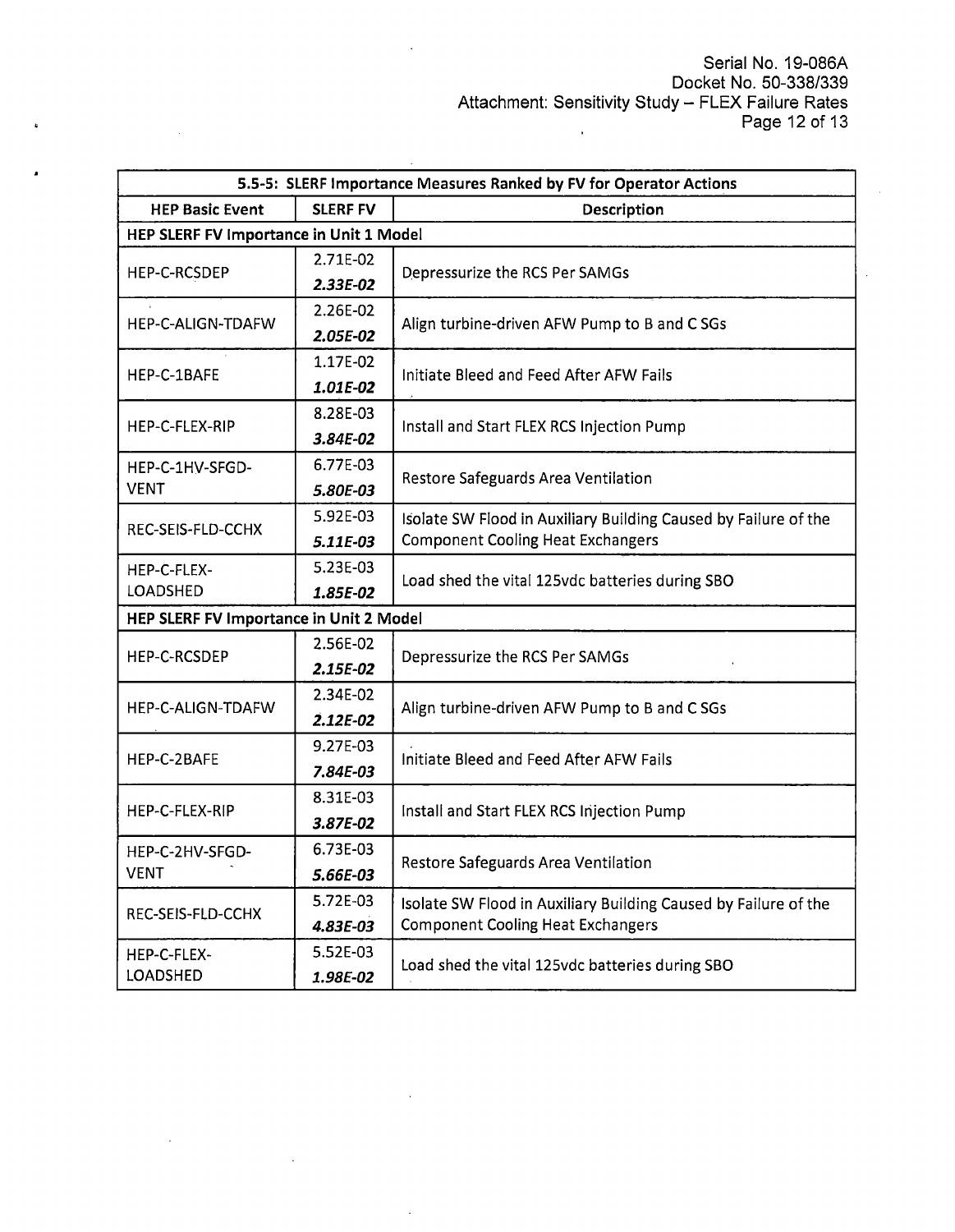| 5.5-5: SLERF Importance Measures Ranked by FV for Operator Actions |                                         |                                                                 |  |  |
|--------------------------------------------------------------------|-----------------------------------------|-----------------------------------------------------------------|--|--|
| <b>HEP Basic Event</b>                                             | <b>SLERF FV</b>                         | Description                                                     |  |  |
|                                                                    | HEP SLERF FV Importance in Unit 1 Model |                                                                 |  |  |
| HEP-C-RCSDEP                                                       | 2.71E-02                                | Depressurize the RCS Per SAMGs                                  |  |  |
|                                                                    | $2.33E-02$                              |                                                                 |  |  |
| HEP-C-ALIGN-TDAFW                                                  | 2.26E-02                                | Align turbine-driven AFW Pump to B and C SGs                    |  |  |
|                                                                    | 2.05E-02                                |                                                                 |  |  |
| HEP-C-1BAFE                                                        | 1.17E-02                                | Initiate Bleed and Feed After AFW Fails                         |  |  |
|                                                                    | 1.01E-02                                |                                                                 |  |  |
| HEP-C-FLEX-RIP                                                     | 8.28E-03                                | Install and Start FLEX RCS Injection Pump                       |  |  |
|                                                                    | 3.84E-02                                |                                                                 |  |  |
| HEP-C-1HV-SFGD-                                                    | 6.77E-03                                | Restore Safeguards Area Ventilation                             |  |  |
| <b>VENT</b>                                                        | 5.80E-03                                |                                                                 |  |  |
| REC-SEIS-FLD-CCHX                                                  | 5.92E-03                                | Isolate SW Flood in Auxiliary Building Caused by Failure of the |  |  |
|                                                                    | 5.11E-03                                | <b>Component Cooling Heat Exchangers</b>                        |  |  |
| HEP-C-FLEX-                                                        | 5.23E-03                                | Load shed the vital 125vdc batteries during SBO                 |  |  |
| LOADSHED                                                           | 1.85E-02                                |                                                                 |  |  |
| HEP SLERF FV Importance in Unit 2 Model                            |                                         |                                                                 |  |  |
| HEP-C-RCSDEP                                                       | 2.56E-02                                | Depressurize the RCS Per SAMGs                                  |  |  |
|                                                                    | 2.15E-02                                |                                                                 |  |  |
| HEP-C-ALIGN-TDAFW                                                  | 2.34E-02                                | Align turbine-driven AFW Pump to B and C SGs                    |  |  |
|                                                                    | 2.12E-02                                |                                                                 |  |  |
| HEP-C-2BAFE                                                        | 9.27E-03                                | Initiate Bleed and Feed After AFW Fails                         |  |  |
|                                                                    | 7.84E-03                                |                                                                 |  |  |
| HEP-C-FLEX-RIP                                                     | 8.31E-03                                | Install and Start FLEX RCS Injection Pump                       |  |  |
|                                                                    | 3.87E-02                                |                                                                 |  |  |
| HEP-C-2HV-SFGD-                                                    | 6.73E-03                                |                                                                 |  |  |
| <b>VENT</b>                                                        | 5.66E-03                                | Restore Safeguards Area Ventilation                             |  |  |
| REC-SEIS-FLD-CCHX                                                  | 5.72E-03                                | Isolate SW Flood in Auxiliary Building Caused by Failure of the |  |  |
|                                                                    | 4.83E-03                                | <b>Component Cooling Heat Exchangers</b>                        |  |  |
| HEP-C-FLEX-                                                        | 5.52E-03                                | Load shed the vital 125vdc batteries during SBO                 |  |  |
| LOADSHED                                                           | 1.98E-02                                |                                                                 |  |  |

 $\mathbf{r}$ 

 $\ddot{\phantom{a}}$